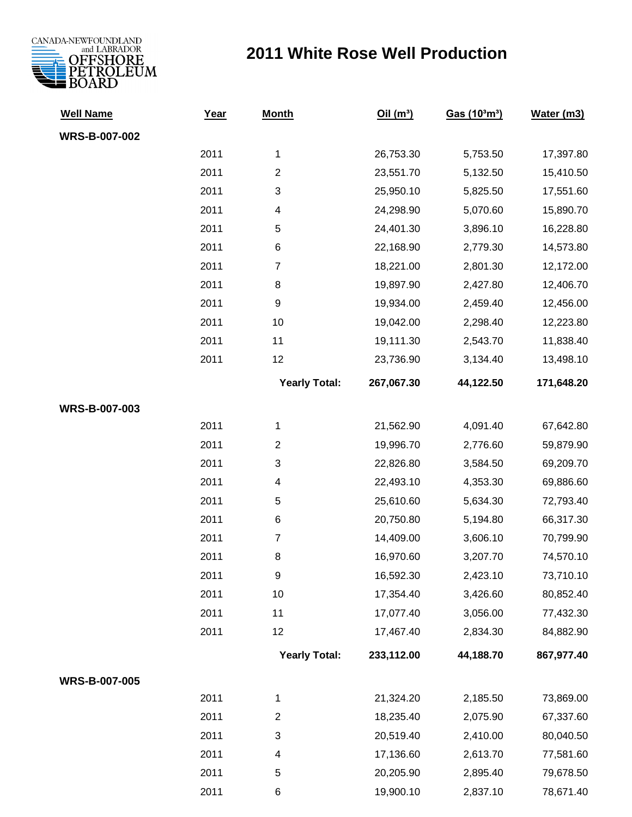

## **2011 White Rose Well Production**

| <b>Well Name</b>     | Year | <b>Month</b>         | Oil(m <sup>3</sup> ) | Gas (10 <sup>3</sup> m <sup>3</sup> ) | Water (m3) |
|----------------------|------|----------------------|----------------------|---------------------------------------|------------|
| <b>WRS-B-007-002</b> |      |                      |                      |                                       |            |
|                      | 2011 | 1                    | 26,753.30            | 5,753.50                              | 17,397.80  |
|                      | 2011 | $\overline{2}$       | 23,551.70            | 5,132.50                              | 15,410.50  |
|                      | 2011 | 3                    | 25,950.10            | 5,825.50                              | 17,551.60  |
|                      | 2011 | 4                    | 24,298.90            | 5,070.60                              | 15,890.70  |
|                      | 2011 | 5                    | 24,401.30            | 3,896.10                              | 16,228.80  |
|                      | 2011 | $\,6$                | 22,168.90            | 2,779.30                              | 14,573.80  |
|                      | 2011 | $\overline{7}$       | 18,221.00            | 2,801.30                              | 12,172.00  |
|                      | 2011 | 8                    | 19,897.90            | 2,427.80                              | 12,406.70  |
|                      | 2011 | $\boldsymbol{9}$     | 19,934.00            | 2,459.40                              | 12,456.00  |
|                      | 2011 | 10                   | 19,042.00            | 2,298.40                              | 12,223.80  |
|                      | 2011 | 11                   | 19,111.30            | 2,543.70                              | 11,838.40  |
|                      | 2011 | 12                   | 23,736.90            | 3,134.40                              | 13,498.10  |
|                      |      | <b>Yearly Total:</b> | 267,067.30           | 44,122.50                             | 171,648.20 |
| WRS-B-007-003        |      |                      |                      |                                       |            |
|                      | 2011 | $\mathbf{1}$         | 21,562.90            | 4,091.40                              | 67,642.80  |
|                      | 2011 | $\overline{2}$       | 19,996.70            | 2,776.60                              | 59,879.90  |
|                      | 2011 | 3                    | 22,826.80            | 3,584.50                              | 69,209.70  |
|                      | 2011 | 4                    | 22,493.10            | 4,353.30                              | 69,886.60  |
|                      | 2011 | 5                    | 25,610.60            | 5,634.30                              | 72,793.40  |
|                      | 2011 | $\,6$                | 20,750.80            | 5,194.80                              | 66,317.30  |
|                      | 2011 | $\overline{7}$       | 14,409.00            | 3,606.10                              | 70,799.90  |
|                      | 2011 | 8                    | 16,970.60            | 3,207.70                              | 74,570.10  |
|                      | 2011 | $\mathsf g$          | 16,592.30            | 2,423.10                              | 73,710.10  |
|                      | 2011 | 10                   | 17,354.40            | 3,426.60                              | 80,852.40  |
|                      | 2011 | 11                   | 17,077.40            | 3,056.00                              | 77,432.30  |
|                      | 2011 | 12                   | 17,467.40            | 2,834.30                              | 84,882.90  |
|                      |      | <b>Yearly Total:</b> | 233,112.00           | 44,188.70                             | 867,977.40 |
| <b>WRS-B-007-005</b> |      |                      |                      |                                       |            |
|                      | 2011 | 1                    | 21,324.20            | 2,185.50                              | 73,869.00  |
|                      | 2011 | $\overline{c}$       | 18,235.40            | 2,075.90                              | 67,337.60  |
|                      | 2011 | 3                    | 20,519.40            | 2,410.00                              | 80,040.50  |
|                      | 2011 | 4                    | 17,136.60            | 2,613.70                              | 77,581.60  |
|                      | 2011 | 5                    | 20,205.90            | 2,895.40                              | 79,678.50  |
|                      | 2011 | 6                    | 19,900.10            | 2,837.10                              | 78,671.40  |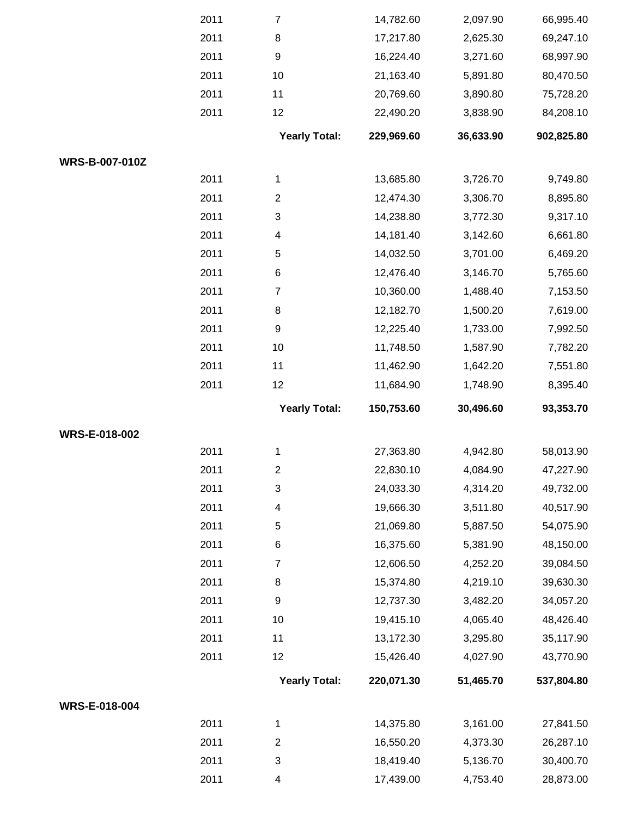|                       | 2011 | $\overline{7}$       | 14,782.60  | 2,097.90  | 66,995.40  |
|-----------------------|------|----------------------|------------|-----------|------------|
|                       | 2011 | 8                    | 17,217.80  | 2,625.30  | 69,247.10  |
|                       | 2011 | 9                    | 16,224.40  | 3,271.60  | 68,997.90  |
|                       | 2011 | 10                   | 21,163.40  | 5,891.80  | 80,470.50  |
|                       | 2011 | 11                   | 20,769.60  | 3,890.80  | 75,728.20  |
|                       | 2011 | 12                   | 22,490.20  | 3,838.90  | 84,208.10  |
|                       |      | <b>Yearly Total:</b> | 229,969.60 | 36,633.90 | 902,825.80 |
| <b>WRS-B-007-010Z</b> |      |                      |            |           |            |
|                       | 2011 | 1                    | 13,685.80  | 3,726.70  | 9,749.80   |
|                       | 2011 | $\overline{2}$       | 12,474.30  | 3,306.70  | 8,895.80   |
|                       | 2011 | 3                    | 14,238.80  | 3,772.30  | 9,317.10   |
|                       | 2011 | 4                    | 14,181.40  | 3,142.60  | 6,661.80   |
|                       | 2011 | 5                    | 14,032.50  | 3,701.00  | 6,469.20   |
|                       | 2011 | 6                    | 12,476.40  | 3,146.70  | 5,765.60   |
|                       | 2011 | $\overline{7}$       | 10,360.00  | 1,488.40  | 7,153.50   |
|                       | 2011 | 8                    | 12,182.70  | 1,500.20  | 7,619.00   |
|                       | 2011 | 9                    | 12,225.40  | 1,733.00  | 7,992.50   |
|                       | 2011 | 10                   | 11,748.50  | 1,587.90  | 7,782.20   |
|                       | 2011 | 11                   | 11,462.90  | 1,642.20  | 7,551.80   |
|                       | 2011 | 12                   | 11,684.90  | 1,748.90  | 8,395.40   |
|                       |      | <b>Yearly Total:</b> | 150,753.60 | 30,496.60 | 93,353.70  |
| WRS-E-018-002         |      |                      |            |           |            |
|                       | 2011 | $\mathbf 1$          | 27,363.80  | 4,942.80  | 58,013.90  |
|                       | 2011 | $\mathbf{2}$         | 22,830.10  | 4,084.90  | 47,227.90  |
|                       | 2011 | 3                    | 24,033.30  | 4,314.20  | 49,732.00  |
|                       | 2011 | 4                    | 19,666.30  | 3,511.80  | 40,517.90  |
|                       | 2011 | 5                    | 21,069.80  | 5,887.50  | 54,075.90  |
|                       | 2011 | 6                    | 16,375.60  | 5,381.90  | 48,150.00  |
|                       | 2011 | $\overline{7}$       | 12,606.50  | 4,252.20  | 39,084.50  |
|                       | 2011 | 8                    | 15,374.80  | 4,219.10  | 39,630.30  |
|                       | 2011 | 9                    | 12,737.30  | 3,482.20  | 34,057.20  |
|                       | 2011 | 10                   | 19,415.10  | 4,065.40  | 48,426.40  |
|                       | 2011 | 11                   | 13,172.30  | 3,295.80  | 35,117.90  |
|                       | 2011 | 12                   | 15,426.40  | 4,027.90  | 43,770.90  |
|                       |      | <b>Yearly Total:</b> | 220,071.30 | 51,465.70 | 537,804.80 |
| WRS-E-018-004         |      |                      |            |           |            |
|                       | 2011 | $\mathbf 1$          | 14,375.80  | 3,161.00  | 27,841.50  |
|                       | 2011 | $\overline{c}$       | 16,550.20  | 4,373.30  | 26,287.10  |
|                       | 2011 | 3                    | 18,419.40  | 5,136.70  | 30,400.70  |
|                       | 2011 | 4                    | 17,439.00  | 4,753.40  | 28,873.00  |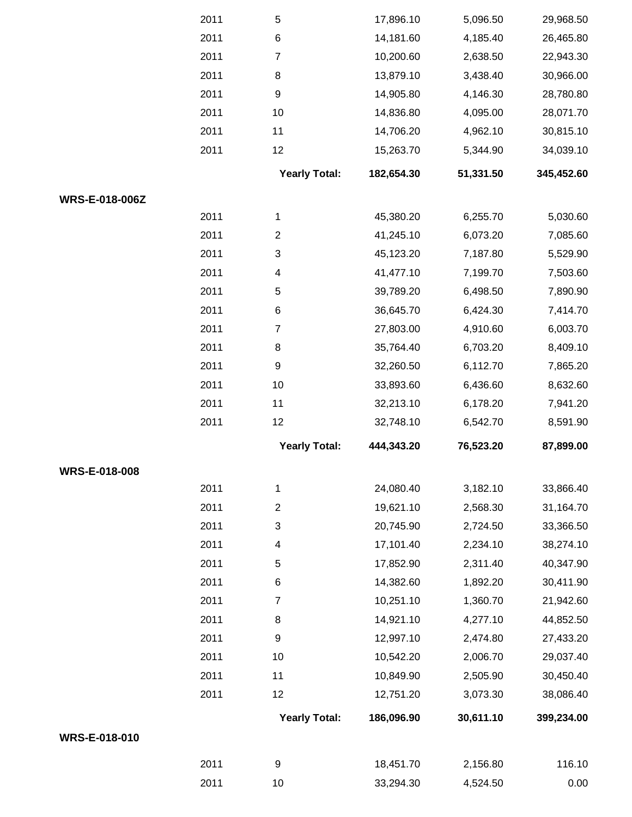|                      | 2011 | $\,$ 5 $\,$          | 17,896.10  | 5,096.50  | 29,968.50  |
|----------------------|------|----------------------|------------|-----------|------------|
|                      | 2011 | $\,6$                | 14,181.60  | 4,185.40  | 26,465.80  |
|                      | 2011 | $\overline{7}$       | 10,200.60  | 2,638.50  | 22,943.30  |
|                      | 2011 | 8                    | 13,879.10  | 3,438.40  | 30,966.00  |
|                      | 2011 | $\boldsymbol{9}$     | 14,905.80  | 4,146.30  | 28,780.80  |
|                      | 2011 | 10                   | 14,836.80  | 4,095.00  | 28,071.70  |
|                      | 2011 | 11                   | 14,706.20  | 4,962.10  | 30,815.10  |
|                      | 2011 | 12                   | 15,263.70  | 5,344.90  | 34,039.10  |
|                      |      | <b>Yearly Total:</b> | 182,654.30 | 51,331.50 | 345,452.60 |
| WRS-E-018-006Z       |      |                      |            |           |            |
|                      | 2011 | 1                    | 45,380.20  | 6,255.70  | 5,030.60   |
|                      | 2011 | $\overline{2}$       | 41,245.10  | 6,073.20  | 7,085.60   |
|                      | 2011 | 3                    | 45,123.20  | 7,187.80  | 5,529.90   |
|                      | 2011 | $\overline{4}$       | 41,477.10  | 7,199.70  | 7,503.60   |
|                      | 2011 | 5                    | 39,789.20  | 6,498.50  | 7,890.90   |
|                      | 2011 | 6                    | 36,645.70  | 6,424.30  | 7,414.70   |
|                      | 2011 | $\overline{7}$       | 27,803.00  | 4,910.60  | 6,003.70   |
|                      | 2011 | 8                    | 35,764.40  | 6,703.20  | 8,409.10   |
|                      | 2011 | $\boldsymbol{9}$     | 32,260.50  | 6,112.70  | 7,865.20   |
|                      | 2011 | 10                   | 33,893.60  | 6,436.60  | 8,632.60   |
|                      | 2011 | 11                   | 32,213.10  | 6,178.20  | 7,941.20   |
|                      | 2011 | 12                   | 32,748.10  | 6,542.70  | 8,591.90   |
|                      |      | <b>Yearly Total:</b> | 444,343.20 | 76,523.20 | 87,899.00  |
| <b>WRS-E-018-008</b> |      |                      |            |           |            |
|                      | 2011 | $\mathbf{1}$         | 24,080.40  | 3,182.10  | 33,866.40  |
|                      | 2011 | $\boldsymbol{2}$     | 19,621.10  | 2,568.30  | 31,164.70  |
|                      | 2011 | 3                    | 20,745.90  | 2,724.50  | 33,366.50  |
|                      | 2011 | $\overline{4}$       | 17,101.40  | 2,234.10  | 38,274.10  |
|                      | 2011 | $\,$ 5 $\,$          | 17,852.90  | 2,311.40  | 40,347.90  |
|                      | 2011 | 6                    | 14,382.60  | 1,892.20  | 30,411.90  |
|                      | 2011 | $\overline{7}$       | 10,251.10  | 1,360.70  | 21,942.60  |
|                      | 2011 | 8                    | 14,921.10  | 4,277.10  | 44,852.50  |
|                      | 2011 | $\boldsymbol{9}$     | 12,997.10  | 2,474.80  | 27,433.20  |
|                      | 2011 | 10                   | 10,542.20  | 2,006.70  | 29,037.40  |
|                      | 2011 | 11                   | 10,849.90  | 2,505.90  | 30,450.40  |
|                      | 2011 | 12                   | 12,751.20  | 3,073.30  | 38,086.40  |
|                      |      | <b>Yearly Total:</b> | 186,096.90 | 30,611.10 | 399,234.00 |
| WRS-E-018-010        |      |                      |            |           |            |
|                      | 2011 | 9                    | 18,451.70  | 2,156.80  | 116.10     |
|                      | 2011 | 10                   | 33,294.30  | 4,524.50  | 0.00       |
|                      |      |                      |            |           |            |